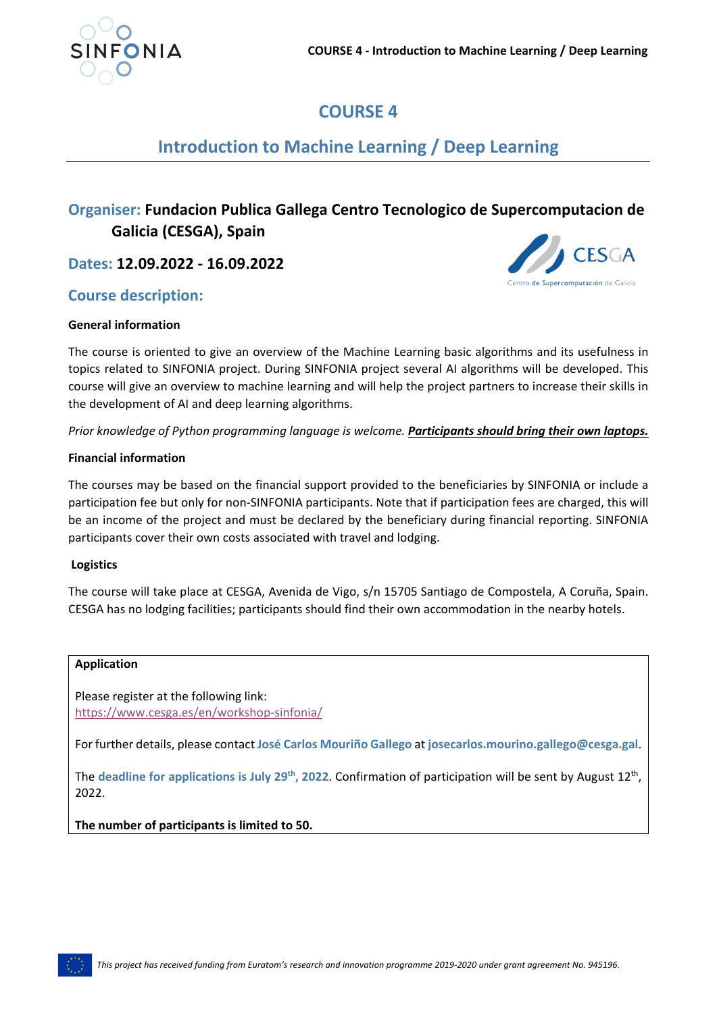

# **COURSE 4**

# **Introduction to Machine Learning / Deep Learning**

# **Organiser: Fundacion Publica Gallega Centro Tecnologico de Supercomputacion de Galicia (CESGA), Spain**

**Dates: 12.09.2022 - 16.09.2022**

## **Course description:**



### **General information**

The course is oriented to give an overview of the Machine Learning basic algorithms and its usefulness in topics related to SINFONIA project. During SINFONIA project several AI algorithms will be developed. This course will give an overview to machine learning and will help the project partners to increase their skills in the development of AI and deep learning algorithms.

*Prior knowledge of Python programming language is welcome. Participants should bring their own laptops.*

### **Financial information**

The courses may be based on the financial support provided to the beneficiaries by SINFONIA or include a participation fee but only for non-SINFONIA participants. Note that if participation fees are charged, this will be an income of the project and must be declared by the beneficiary during financial reporting. SINFONIA participants cover their own costs associated with travel and lodging.

### **Logistics**

The course will take place at CESGA, Avenida de Vigo, s/n 15705 Santiago de Compostela, A Coruña, Spain. CESGA has no lodging facilities; participants should find their own accommodation in the nearby hotels.

### **Application**

Please register at the following link: <https://www.cesga.es/en/workshop-sinfonia/>

For further details, please contact **José Carlos Mouriño Gallego** at **josecarlos.mourino.gallego@cesga.gal**.

The **deadline for applications is July 29th, 2022**. Confirmation of participation will be sent by August 12th, 2022.

**The number of participants is limited to 50.**